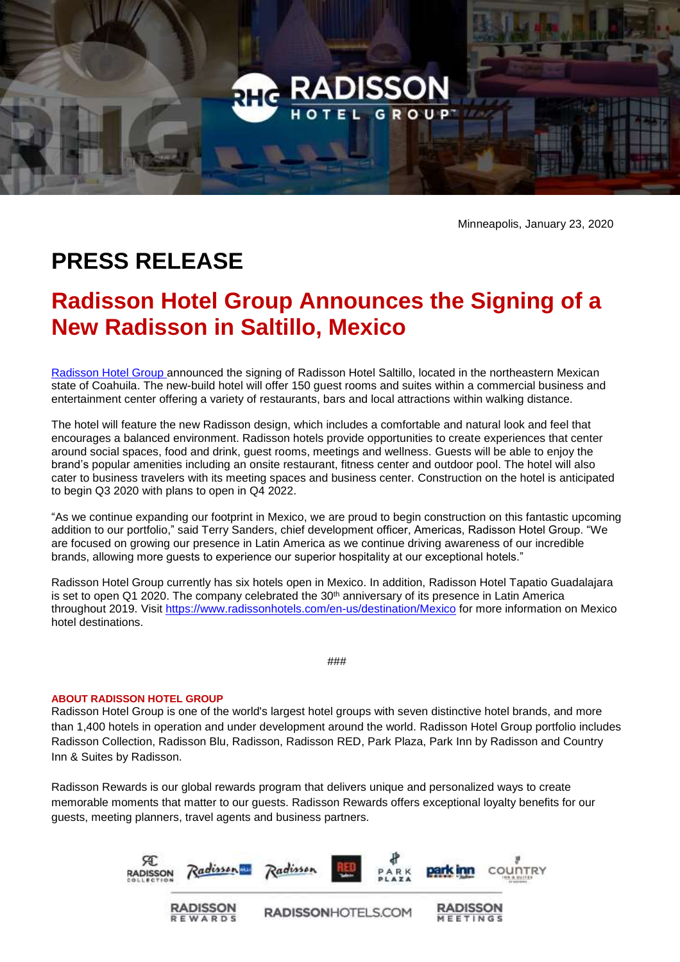

Minneapolis, January 23, 2020

## **PRESS RELEASE**

## **Radisson Hotel Group Announces the Signing of a New Radisson in Saltillo, Mexico**

[Radisson Hotel Group](https://www.radissonhotelgroup.com/) announced the signing of Radisson Hotel Saltillo, located in the northeastern Mexican state of Coahuila. The new-build hotel will offer 150 guest rooms and suites within a commercial business and entertainment center offering a variety of restaurants, bars and local attractions within walking distance.

The hotel will feature the new Radisson design, which includes a comfortable and natural look and feel that encourages a balanced environment. Radisson hotels provide opportunities to create experiences that center around social spaces, food and drink, guest rooms, meetings and wellness. Guests will be able to enjoy the brand's popular amenities including an onsite restaurant, fitness center and outdoor pool. The hotel will also cater to business travelers with its meeting spaces and business center. Construction on the hotel is anticipated to begin Q3 2020 with plans to open in Q4 2022.

"As we continue expanding our footprint in Mexico, we are proud to begin construction on this fantastic upcoming addition to our portfolio," said Terry Sanders, chief development officer, Americas, Radisson Hotel Group. "We are focused on growing our presence in Latin America as we continue driving awareness of our incredible brands, allowing more guests to experience our superior hospitality at our exceptional hotels."

Radisson Hotel Group currently has six hotels open in Mexico. In addition, Radisson Hotel Tapatio Guadalajara is set to open Q1 2020. The company celebrated the 30<sup>th</sup> anniversary of its presence in Latin America throughout 2019. Visit <https://www.radissonhotels.com/en-us/destination/Mexico> for more information on Mexico hotel destinations.

###

## **ABOUT RADISSON HOTEL GROUP**

Radisson Hotel Group is one of the world's largest hotel groups with seven distinctive hotel brands, and more than 1,400 hotels in operation and under development around the world. Radisson Hotel Group portfolio includes Radisson Collection, Radisson Blu, Radisson, Radisson RED, Park Plaza, Park Inn by Radisson and Country Inn & Suites by Radisson.

Radisson Rewards is our global rewards program that delivers unique and personalized ways to create memorable moments that matter to our guests. Radisson Rewards offers exceptional loyalty benefits for our guests, meeting planners, travel agents and business partners.